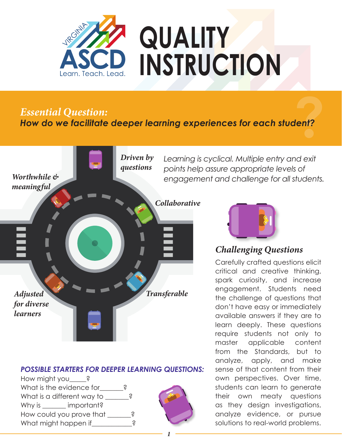

**Find Example 2018**<br>**2** *Essential Question:*<br>**2 Property Example 2019 Paraming experiences for each student?** *How do we facilitate deeper learning experiences for each student?*



### *POSSIBLE STARTERS FOR DEEPER LEARNING QUESTIONS:*

How might you ? What is the evidence for **Parage 1**? What is a different way to  $\qquad \qquad$  ? Why is **important?** How could you prove that \_\_\_\_\_\_? What might happen if Philoden Contains a set of the Middle





### *Challenging Questions*

Carefully crafted questions elicit critical and creative thinking, spark curiosity, and increase engagement. Students need the challenge of questions that don't have easy or immediately available answers if they are to learn deeply. These questions require students not only to master applicable content from the Standards, but to analyze, apply, and make sense of that content from their own perspectives. Over time, students can learn to generate their own meaty questions as they design investigations, analyze evidence, or pursue solutions to real-world problems.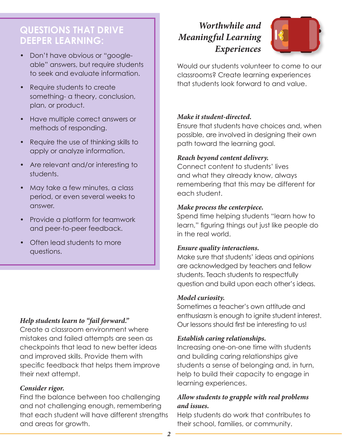### **QUESTIONS THAT DRIVE DEEPER LEARNING:**

- Don't have obvious or "googleable" answers, but require students to seek and evaluate information.
- Require students to create something- a theory, conclusion, plan, or product.
- Have multiple correct answers or methods of responding.
- Require the use of thinking skills to apply or analyze information.
- Are relevant and/or interesting to students.
- May take a few minutes, a class period, or even several weeks to answer.
- Provide a platform for teamwork and peer-to-peer feedback.
- Often lead students to more questions.

### *Help students learn to "fail forward."*

Create a classroom environment where mistakes and failed attempts are seen as checkpoints that lead to new better ideas and improved skills. Provide them with specific feedback that helps them improve their next attempt.

#### *Consider rigor.*

Find the balance between too challenging and not challenging enough, remembering that each student will have different strengths and areas for growth.

# *Worthwhile and Meaningful Learning Experiences*



Would our students volunteer to come to our classrooms? Create learning experiences that students look forward to and value.

#### *Make it student-directed.*

Ensure that students have choices and, when possible, are involved in designing their own path toward the learning goal.

#### *Reach beyond content delivery.*

Connect content to students' lives and what they already know, always remembering that this may be different for each student.

#### *Make process the centerpiece.*

Spend time helping students "learn how to learn," figuring things out just like people do in the real world.

#### *Ensure quality interactions.*

Make sure that students' ideas and opinions are acknowledged by teachers and fellow students. Teach students to respectfully question and build upon each other's ideas.

#### *Model curiosity.*

Sometimes a teacher's own attitude and enthusiasm is enough to ignite student interest. Our lessons should first be interesting to us!

#### *Establish caring relationships.*

Increasing one-on-one time with students and building caring relationships give students a sense of belonging and, in turn, help to build their capacity to engage in learning experiences.

### *Allow students to grapple with real problems and issues.*

Help students do work that contributes to their school, families, or community.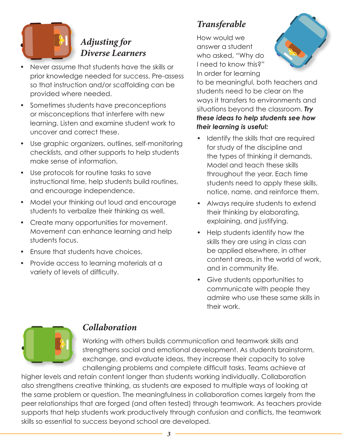

# *Adjusting for Diverse Learners*

- Never assume that students have the skills or prior knowledge needed for success. Pre-assess so that instruction and/or scaffolding can be provided where needed.
- Sometimes students have preconceptions or misconceptions that interfere with new learning. Listen and examine student work to uncover and correct these.
- Use graphic organizers, outlines, self-monitoring checklists, and other supports to help students make sense of information.
- Use protocols for routine tasks to save instructional time, help students build routines, and encourage independence.
- Model your thinking out loud and encourage students to verbalize their thinking as well.
- Create many opportunities for movement. Movement can enhance learning and help students focus.
- Ensure that students have choices.
- Provide access to learning materials at a variety of levels of difficulty.

# *Transferable*

How would we answer a student who asked, "Why do I need to know this?" In order for learning



to be meaningful, both teachers and students need to be clear on the ways it transfers to environments and situations beyond the classroom. *Try these ideas to help students see how their learning is useful:*

- Identify the skills that are required for study of the discipline and the types of thinking it demands. Model and teach these skills throughout the year. Each time students need to apply these skills, notice, name, and reinforce them.
- Always require students to extend their thinking by elaborating, explaining, and justifying.
- Help students identify how the skills they are using in class can be applied elsewhere, in other content areas, in the world of work, and in community life.
- Give students opportunities to communicate with people they admire who use these same skills in their work.



### *Collaboration*

Working with others builds communication and teamwork skills and strengthens social and emotional development. As students brainstorm, exchange, and evaluate ideas, they increase their capacity to solve challenging problems and complete difficult tasks. Teams achieve at

higher levels and retain content longer than students working individually. Collaboration also strengthens creative thinking, as students are exposed to multiple ways of looking at the same problem or question. The meaningfulness in collaboration comes largely from the peer relationships that are forged (and often tested) through teamwork. As teachers provide supports that help students work productively through confusion and conflicts, the teamwork skills so essential to success beyond school are developed.